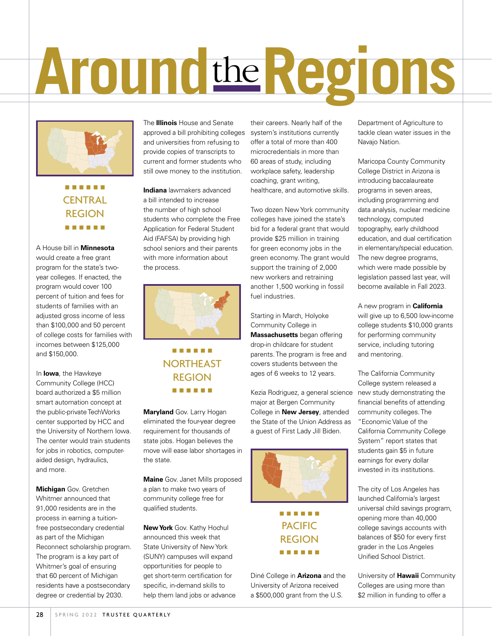# **Around**the**Regions**



### . . . . . . **CENTRAL** REGION . . . . . .

A House bill in **Minnesota** would create a free grant program for the state's twoyear colleges. If enacted, the program would cover 100 percent of tuition and fees for students of families with an adjusted gross income of less than \$100,000 and 50 percent of college costs for families with incomes between \$125,000 and \$150,000.

In **Iowa**, the Hawkeye Community College (HCC) board authorized a \$5 million smart automation concept at the public-private TechWorks center supported by HCC and the University of Northern Iowa. The center would train students for jobs in robotics, computeraided design, hydraulics, and more.

**Michigan** Gov. Gretchen Whitmer announced that 91,000 residents are in the process in earning a tuitionfree postsecondary credential as part of the Michigan Reconnect scholarship program. The program is a key part of Whitmer's goal of ensuring that 60 percent of Michigan residents have a postsecondary degree or credential by 2030.

The **Illinois** House and Senate approved a bill prohibiting colleges system's institutions currently and universities from refusing to provide copies of transcripts to current and former students who still owe money to the institution.

**Indiana** lawmakers advanced a bill intended to increase the number of high school students who complete the Free Application for Federal Student Aid (FAFSA) by providing high school seniors and their parents with more information about the process.



## . . . . . . NORTHEAST REGION . . . . . .

**Maryland** Gov. Larry Hogan eliminated the four-year degree requirement for thousands of state jobs. Hogan believes the move will ease labor shortages in the state.

**Maine** Gov. Janet Mills proposed a plan to make two years of community college free for qualified students.

**New York** Gov. Kathy Hochul announced this week that State University of New York (SUNY) campuses will expand opportunities for people to get short-term certification for specific, in-demand skills to help them land jobs or advance

their careers. Nearly half of the offer a total of more than 400 microcredentials in more than 60 areas of study, including workplace safety, leadership coaching, grant writing, healthcare, and automotive skills.

Two dozen New York community colleges have joined the state's bid for a federal grant that would provide \$25 million in training for green economy jobs in the green economy. The grant would support the training of 2,000 new workers and retraining another 1,500 working in fossil fuel industries.

Starting in March, Holyoke Community College in **Massachusetts** began offering drop-in childcare for student parents. The program is free and covers students between the ages of 6 weeks to 12 years.

Kezia Rodriguez, a general science major at Bergen Community College in **New Jersey**, attended the State of the Union Address as a guest of First Lady Jill Biden.



## . . . . . . PACIFIC REGION . . . . . .

Diné College in **Arizona** and the University of Arizona received a \$500,000 grant from the U.S.

Department of Agriculture to tackle clean water issues in the Navajo Nation.

Maricopa County Community College District in Arizona is introducing baccalaureate programs in seven areas, including programming and data analysis, nuclear medicine technology, computed topography, early childhood education, and dual certification in elementary/special education. The new degree programs, which were made possible by legislation passed last year, will become available in Fall 2023.

A new program in **California** will give up to 6,500 low-income college students \$10,000 grants for performing community service, including tutoring and mentoring.

The California Community College system released a new study demonstrating the financial benefits of attending community colleges. The "Economic Value of the California Community College System" report states that students gain \$5 in future earnings for every dollar invested in its institutions.

The city of Los Angeles has launched California's largest universal child savings program, opening more than 40,000 college savings accounts with balances of \$50 for every first grader in the Los Angeles Unified School District.

University of **Hawaii** Community Colleges are using more than \$2 million in funding to offer a